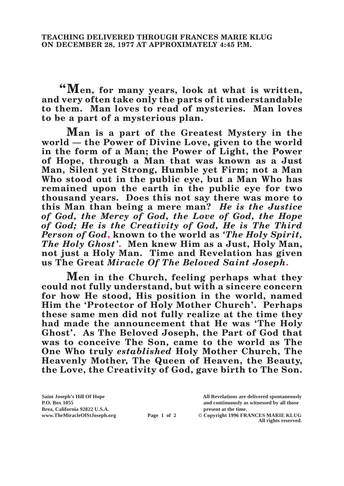**"Men, for many years, look at what is written, and very often take only the parts of it understandable to them. Man loves to read of mysteries. Man loves to be a part of a mysterious plan.**

**Man is a part of the Greatest Mystery in the world — the Power of Divine Love, given to the world in the form of a Man; the Power of Light, the Power of Hope, through a Man that was known as a Just Man, Silent yet Strong, Humble yet Firm; not a Man Who stood out in the public eye, but a Man Who has remained upon the earth in the public eye for two thousand years. Does this not say there was more to this Man than being a mere man?** *He is the Justice of God, the Mercy of God, the Love of God, the Hope of God; He is the Creativity of God, He is The Third Person of God***, known to the world as** *'The Holy Spirit, The Holy Ghost'***. Men knew Him as a Just, Holy Man, not just a Holy Man. Time and Revelation has given us The Great** *Miracle Of The Beloved Saint Joseph***.**

**Men in the Church, feeling perhaps what they could not fully understand, but with a sincere concern for how He stood, His position in the world, named Him the 'Protector of Holy Mother Church'. Perhaps these same men did not fully realize at the time they had made the announcement that He was 'The Holy Ghost'. As The Beloved Joseph, the Part of God that was to conceive The Son, came to the world as The One Who truly** *established* **Holy Mother Church, The Heavenly Mother, The Queen of Heaven, the Beauty, the Love, the Creativity of God, gave birth to The Son.** 

**Brea, California 92822 U.S.A. present at the time.**

**Saint Joseph's Hill Of Hope All Revelations are delivered spontaneously P.O. Box 1055 and continuously as witnessed by all those** 

**www.TheMiracleOfStJoseph.org Page 1 of 2 © Copyright 1996 FRANCES MARIE KLUG All rights reserved.**